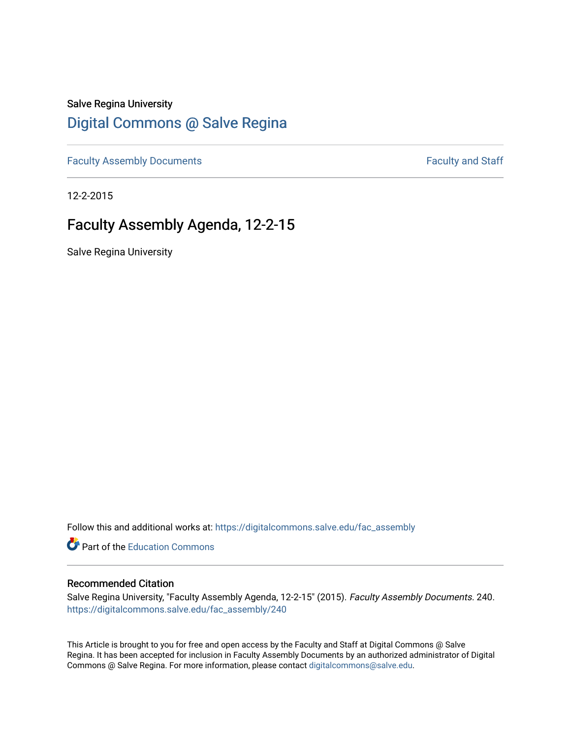## Salve Regina University

# [Digital Commons @ Salve Regina](https://digitalcommons.salve.edu/)

[Faculty Assembly Documents](https://digitalcommons.salve.edu/fac_assembly) **Faculty Assembly Documents Faculty** and Staff

12-2-2015

## Faculty Assembly Agenda, 12-2-15

Salve Regina University

Follow this and additional works at: [https://digitalcommons.salve.edu/fac\\_assembly](https://digitalcommons.salve.edu/fac_assembly?utm_source=digitalcommons.salve.edu%2Ffac_assembly%2F240&utm_medium=PDF&utm_campaign=PDFCoverPages) 

**C** Part of the [Education Commons](http://network.bepress.com/hgg/discipline/784?utm_source=digitalcommons.salve.edu%2Ffac_assembly%2F240&utm_medium=PDF&utm_campaign=PDFCoverPages)

#### Recommended Citation

Salve Regina University, "Faculty Assembly Agenda, 12-2-15" (2015). Faculty Assembly Documents. 240. [https://digitalcommons.salve.edu/fac\\_assembly/240](https://digitalcommons.salve.edu/fac_assembly/240?utm_source=digitalcommons.salve.edu%2Ffac_assembly%2F240&utm_medium=PDF&utm_campaign=PDFCoverPages) 

This Article is brought to you for free and open access by the Faculty and Staff at Digital Commons @ Salve Regina. It has been accepted for inclusion in Faculty Assembly Documents by an authorized administrator of Digital Commons @ Salve Regina. For more information, please contact [digitalcommons@salve.edu](mailto:digitalcommons@salve.edu).